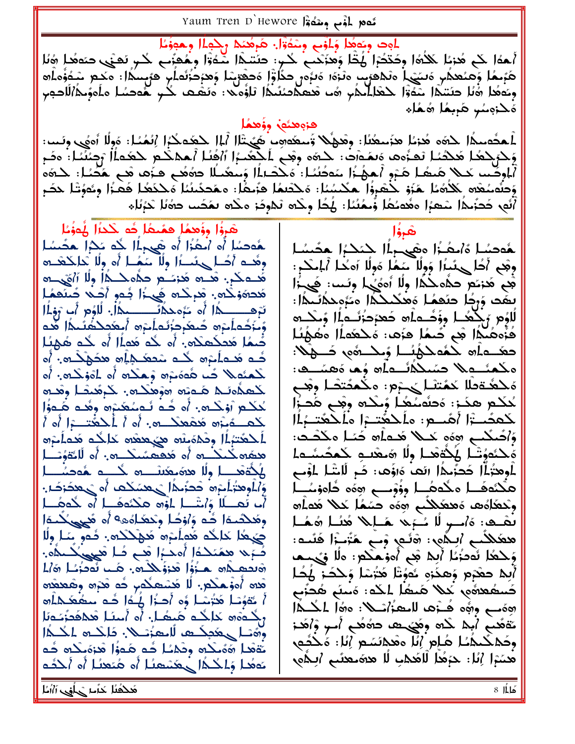Yaum Tren D'Hewore liser pal poi

لِمِد وِجَعِعًا وَلَوْنِي وَسْوُوْلَ. هَرِهُنَكَ رَبِّكُولًا وَلَعْوَمُلَ

أَهِمَا كُمْ هُدَئِا كَلَاهَا وِحَتَّحْرَا هُتَا وَهُدَكَتِ كُبِرٍ. حَنْتِهَا شَمْوًّا وِهُهِزَى كُب تحوشا مَناهل هَا هَبُعُلْ وَهِنُعِكُمٍ مَنبُهَا وَنَدْعَهِبٍ وَنَزْهَ! مَبْوَى حَكَاثَوْا مَحْقِبْهِمَا وَعِبْحَتُنُعَلُمٍ هَيُسكا! وَحَج شُهُوها وِمَعَعْلَ هَٰلًا حَنُتُمَا شَفَوْا ۖ حَعْلَلْتُمْ هَٰبَ قَعَعَكُمْتُمَا لَلْؤُونَد: وَنَصْفَ خُبِ هُوصُبا ولمؤوخاالأحوم ەَخزومُبو ھُربعُا ھُھُاھ

## هزوهئق وؤهما

المحْصِيحَالِ لِحَمَى هُزِيَا هُزَيْتُهَا: وِهُوَيْلًا وَيَتَعَمُّونَ هَيْخَالَ أَلِمَا لَكِعَامَكَمُ الْمُثَار وَوِلًا أَمْهَى وَيَتَبَدَّد وَكْرَجْهَا هَجْشًا تَعْنُوهَ وَبَعْوَاتٌ: كَمَرَهُ وَقِي لَمُجِّعَبُ} أَ/فَنُا أَعْمَلَكُم كَعَمَاً} وصننا وض ٱلْمُوضَّىبَ كَبِيلًا هَيْمُمَا هَيْمٍ ٱلْمِهْـٰذَا شَوَجُتُنَا: ۚ وَكَصَابُا وَسَعَيْنَا حَوَيْهِ و مَحِدَّعَتُمْهُو ۚ لِللَّهُمَّا هَٰذَهِ ۖ خَفْعَ ذَا هَكُسُمًا: مَكْتَمَاً: مَهَدَمُنُمَّا مَكْتَمَا فَعَذَا وتَوَثَّا حَضَر آئَمِ حَجَّىجَا سَعِمُ! مَعْمَتُمَا وُسِعُنُا: لَمَحًا وِحْدَه لَكُومًا مِكْدَ بِعَضَبٍ حَوْنًا تَدْمُلُ

هْرَوُا وَوُهِمُا هِمُبِهَا جُو كَذَا لَمْوَيُّا لَمُحصَلَ أَنْ أَنْظُرًا أَنْ هَيْ أَلْمَدُ كُلَّا لَهُمُسَلًّا لِلْمُحَسِّلَ وِهُــهِ أَصَّــٰ كِمَــٰدُا وِلَآ مَـٰمِـَـا أَه وِلَا تَعَاـكَـهَــهِ هُــوكُر. هُـــو هُـزْسُــو حِمُّوكِــدًا وَلَا أَأْيَىــو هُدهُوَ كُلُّهِ، هُرِكُلُّهُ فِي أَلْ فُومٍ أَضِّلًا ضِّنَعْفُهُا وۡخُدۡلَٰثَۃ صَعَرۡدِۂُنُدَلَٰثَۃ ۡ اُبۡعَٰدِکَھُنَـٰدًا ۖ قَدہ ضُمُا مَحكَمِكُم. أو حُد مَداًا أو حُد مُهنًا صَد مَدعاً شره لَکد شعمَک جاباً هو محکوف کرد. آه لْكَمُّئِهِ لَا صَّـهُ مَوْمِهِ وَبِمَكْتِهِ أَه لِمُؤَكِّنَةٍ. أَه كَتْعَدُّونَكُمْ هُدْمَة هُوْتَكْتُو. كَرْتُعَدَّا وقْدَة لَحَكُـمْ أَوْلَكُـنَّ، أَنْ شُمَّ لَـمِنْتَعَبَّرْنَ ۚ وَهُـمْ كَبِمَوْا لَكْمَـــوُمْرَه مُحْمَعِنْكَـــرِهِ. أَهِ أَكْلِمُخْتَـــْمَ أَه أَ لمحتشر المؤرثة والمتسابق المتوافق ههُه كَنْݣُرِهِ أَه هُهُمْسُكْ هِ. أَه لَاتَّقَوّْسُلْ لَجِثَةَ هَبِ إِلَّا هِمَ بِعَننَـــــ ۞ حَــَــِـهِ ۖ هُوصُنَـــا ۖ رَاحَةَ مِنْ مِنْ مَكْسَمِينَ الْمَاقْتَ مِّهَا أَمْوَانُهُمْ وَالْأَيْضَاءِ الْأَيْ أَمَا تَعْسَلًا وَٱشْسَا لِمُؤْمَّةٍ هَكْتُوَهُسَا أَهْ لَكُوهُسَا وهَكْشَمَا شَه وَٱوْضًا وتَعَمَّاهُ۞ أَه هَيْهِيَكْمَهَا كَيْݣَا خَاجْه هُمْلُوْرُو هُوْكَكُوهِ. مُوْ سَا ولَا ضَعِيد همَنكمُ أوجعُ أوجع صَل هي كَنفُونَ @تعتقِبْكُم مِنْزُوْلِ هُدْوُبْكِلْتُمْ. هَبْ تُوجُرُسُلُ 2/6 هُده أَهْوَ هَكُمْ. لَا هُسْعَكُمْ وَ هُرُه وَعْعَمُوه أَ بِتَوْسَلِ هَٰتُوسَا وَهِ أَصَدًا لَمَنَا هَـٰهِ مَعْقَدَهِالَهِ مِكْحَةِهِ كَالِكُمْ هَبِعُلْ: أَهْ أَسْنَا هَدْفَعَنْنَجْنَا وَهَسَالِ حَفَظِهِ الْمَسْكَةِ مِسْتَحِمَّدِ الْمَسْكَةِ مِسْتَحِمَّدٍ مِسْتَحِمَّدٍ مِسْتَحِمَّدٍ م غّْفْعًا هَمُنْكُلُّهُ وَثَمْنًا شُمْ هَٰدَوُا هُزَهَنْكُلُّهُ شُمْ مَعْكُمْ أَمِّهُ مِنْ الْمَعْنَمِينَ مِنْ الْكَلَامَ لَمْعَاهَمَ

لمنمعًا وَاحِكْمُ الْمَحِيمِ الْمَحْدَرُا ۚ هِحَسُمَا ۖ وِهْمِ أَجْلَى بِسَٰرًا وَوِلًا ۖ يَبِعُلُ دَولًا آهَ دَلَمَ أَلِمَ دَمِنَهِ ۚ وَ هُمْ هَٰزَعَمْ حَمُّوكُمُ ۚ وَلَا أَوْوَٰىٰ ۖ وَيَـٰب: هَٰيَّۃُ ا بِعَد وَرَجًا حنَعِمًا وَهذَلَكُمَا وَغَوْلَكُمَا: لَلوُم رَبِّكُما وِؤُصُّـٰءاَه حَمْدَحُرْنَـٰهاْل وُحْـُـه فَزّْدِهُنَّهُمْ أَهْمٍ ضَعْلَ فَزَهَا: مَٰكَعُمَاْ! دَهُهُنَّا ۖ حعَـــماھ حَـمُمحَـمُنُـــا وَمحـــوُى ضَـــوَىٰ\: ەڭمئىملا كئىنگەڭشەلە ۋما ةھئىسە: مَحْعَّدَمْلَا عَمَّتْنَـا حَجَمٍ: مَخْمَتَتْمَـا وَقِب لُكْكُمْ هَذَا: هَحَثَّمَنُعُلَّا وُعْكُمْ وَقِي هَٰحَـٰٓرَا لَحْمَصُــٰٓۃٖا أَمَّـــمِ: مأَحْهَّتِــْمِ| مأَخَعَّتــٰمُـاُ| وَٱصۡكُـٰـٰٓ وَهُوۡ كَـٰلا مَحۡدَلُه ضَـٰا مَكۡصَـٰہ: هَٰكِنُوشَا لِكُثْفَهْمَا وِلَا هَٰىهُنبِ كَمِحَْمِنُبِهِ ا لِمُوهَبُمَا احْجَمُوا الله وَاؤُها: ضَرِ لَاسْلَمْ لِأَوْسَى عَكْتُمَفَــا مَكْمَضُــا وِؤُوْســى «ِهَٰه خَاهوْسُــِـا وتحكاؤها ومعكلكم وووه حسكا لحلا هماه نْفَــْدِ: هُٱســرِ لَٰا سُـَرَىٰدَ ـَهَــاِبِكَ هُنُــا هُـهَــا هعَكلُب *إِنِـكُودِ: هَلُـُ*ي وَنِّـعِ هَتَنَــَا هَنَــهِ:<br>وَحَكَمَّا تُودُمَّا *أَبِ*دَ هِي أُودِهِكُو: وَلَا وَيُجِيعَا أبِهِ حَمْدٍمِ وَهَذَهِ مُوَتَلٌ هَٰتُمْمَا وَحَكَّمَ لَمَحًا صُنَّفَعِيَّةٍ لَحِلًا هَيَقًا الْكُمَّ: مَيْنَعٍ هُجَّتِي اجِمَعِ وِجُمْ هُـزَمَا للْعَذَّانِــــــــا: وَهَا لِمَــــــــــهَا تَّقَعْبُ أَبِيمَ كُلَّهُ وِهَيْ مِنْ دَهُمْكُمْ أَسْوِ وُأَهُدَ وِحُمْكُمْمُـُـا هُـإِمْ إِلَٰا هِعْمِنَسُمْ إِلَا: هَٰكُفُمِي هِنَبْراً إِثَاءَ جَرْهُا لَاهُكُمْتِ لَا هِيَمَعِنَّنِي أَتِـكَاهِي

مُحَكِّفُا حَفَّظ عَدَمَهِ النَّصَاءَ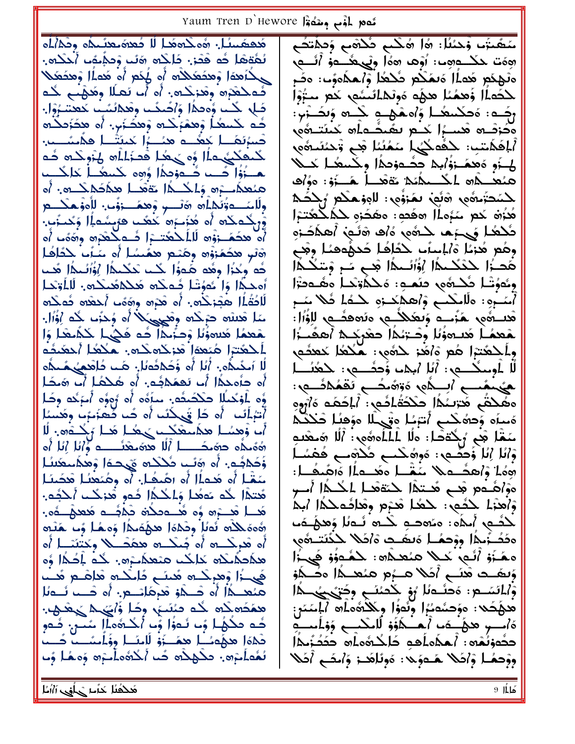Yaum Tren D'Hewore liser pal poi

هُدهِهَسلُل: ﴿ وَمَكْرُوهُمْ أَلَمْ فُعِيهَ بِعِنْصِكُو ۚ وَشَارُكُوا وَ ِنُعْقِهَا هُو هُدَرْ. ذَاكِلُه هَنَّ وَدَأَبِهُم أَحْكُم: حِكْثُمِهُمْ وَمِحْمَدِكُمْ أَن يُكُمْ أَنْ هَٰذَا وَمِحَمَدِكَا ۖ َ ضُمْلَحْتُوهِ ۖ وَقُدَيْدُهِ ۚ أَهُ ۗ أَبَّ نَصْلًا ۖ وَهُوَّيْبَ ۚ خُنْهَ ضَلِّ لَكُتَ وُهُجَمَا وَٱصَّحُتْ وَهُجَائِشِتْ لَاتَّعَشْتُوْوَا. صَّد كَسِعًا وَهُمَ كُلُّه وَهَضَهُرٍ. أَه هَجَزَتْكُم أصَبَّرُهُــــــل جَعَّدَــــهُ هَدُــــزُل جَدَيْتُـــل هَذَيْسُـــبْ. مَـٰهُ مِـٰذُمِنَ مِالَّذِعَةِ الْمِرْءَ مِهْمَا مَـٰذِكِـُمِّـ مَـٰذِمِـٰدَةِ مَـٰدِهِ مِـٰذِمِـٰدَ لَمِسْرُوْاً صَبَّ صَّوْفِظًا وُهِمْ كَنْتَغُسْلُ كَالْكَسِبَ عِنُعجَمَــِـبْرَهِ وَالْحُــجَالَ عَقْصَــلَ عِجَمَحَجَمَــْدَ . أَه وِلَاسًـــدَّةِنَكِيَاتَ ۞تَــــرِ وَهمَــــزَوْبَ: الْمَوْسَكَــــــــور وْمِيْدُهْكُلُهُ أَنْ هُزُمَرُهُ كُلُّفُمْ فَهُمِشُمْ}ا وَكُمَنُوءٍ. أَه محَمَّــٰ;وَٰهَ لَٰٓالَمَـٰـٰحَتَـٰـٰٓ | شَـٰعكُمْرَهِ وَهَٰهَـٰ أَه هْلُو هَجُمْزَوْهِ وِهَبْتُو هُمُسُلٍّ أَهِ سُلِّفٌ كِجُاهُا ۖ حْهِ وِكْرًا وِهُه هَٰدَوْا كُتْ تَكْتَبُدًا إِوْٱتُبْدًا هَت أُهْجَعُ ۖ وَالْمُؤَتَّالِ فِيهَا مَحْكُمْ مَحْدَثَةٌ ۚ لَلْأَوْجَا لَاحُقُاً الْمُهْدِكُمْ. أَو هُرُه وَوَوَى أَحْقُرُه شَمْلُو سًا هَلِلَّهِ حَرِيْكُمْ وَهَيْهِيَكُمْ أَهْ وُجْزَى جُمْ إِوَّالَ. لمُعمَّا مَسَوْنًا وَحَبَّداً هُـهِ فَكَيْ لَكَمْتَعَا وَا أَلْحَقَتِهِ الْمُنَعَفَا هُوَكُلُوهُ هُو الْمَعْدَلَ الْمَعْدَدُهِ لَا ٱمنَّكُم، ٱللَّ أَه وَّكُلاَثُونَا. هَــٰ فُاهْعَيْهُــٰكُم أَه جِزْهَدِهُ! أَبِ نَعْمَدَهُمْ. أَهِ هُدْهُا أَبَّ هَيَجًا وُه بِٱوْكَىلًا حَكَمَتُه ِ سَزَٰهُم أَه رُووُه أَمَرُكُم وحَا أَنْتُرَانَّكَ ﴾ أَهَ فَلْ قَيْحَتَنَا ﴾ قَتْ كَتَعَزَّمَ وَهَسَنَا أن وْهِسْما هِكْسِهْكَتِبْ يَهْمَا هَمَا رَبُّكَ وَمِنْ الْمَسْمَةِ وَالْمَسْمَةِ مِنْ هُوَمِيْهِ حَوَمَكَــــا ٱللْهَ هَوَمَــَهْنَـــــو وَّائِلِ إِبْلِ أَو ؤََحۡدَقۡءِ. أَه هَٰنَـب تَكۡكُم يَحۡدَا وَهٰذَا عَفَلَهُ ا مَمَّـلَّ أَه هَـٰه اللَّهُ (هُـٰهُـلٌ: أَه وهُـُعْدُلُـل هُحُـنَـل مُتمَّا كُمْ مُومًا وَالْحُكَا فُو قَدِكُت أَحْفُو. كَعَــا قَعَــمْ ۞ وُه قُعَـــمحكَّة حُكْمَـــم قَعَــمَــمُه. رَّةُوهُ لِكُلُّهِ أَوْلَٰهُ وَحُكُمًا وَحَكُمُ اللَّهُ عَلَى الْمُلَّامُ مَعْلَى الْمُلْسَ أه هركسه أه مُكسه ممَصْلاً وكتِنَسْاً أه ھكەككىگە كاڭب متعكىرە. گە إككا ۋە فَهِيُّوا وَهِرِيْدُ هُ هُنتُمْ قَالَيْدُهِ هَاهُنْ هُنَّتْ هَنُعَـــدًا أَه صَــدٌوْ هُرَهَائِـــع. أَه صَــد نُـــهُ/ همَدُولِكُمْ لَا مِنْكَبِهِ وَحَا وَاتَّتِي مِنْكُمْ لَيَحْدَثُ كُـه تَكُهُـا وُبِ نُـَووُا وُبِ أَكْـرُهُمَاإِ سُبَـمٍ. فُـدو تْهَهَا هِهُمْنِيا هِمْنُوْ لَاسْنَا وِوَٰٓاْسُنَّتَ كَنْتَ لَعُمَلَـٰـٰٓءٍ. حَكَمَكُم كَـٰ ٱلْحُمْمَلَـٰـٰٓءٍ وَمَعُـٰا وَٰٮ

مَعۡمَنُوا وَحَنُلًا: 16 36هـ دَكْتُوم وَصِفَتَحُم رەمَت حكىم بوت: اُوْھە «ەا وقى ھُي عَفِي الْسَمِع ەنى ئور ئەيدا ئەسكى مىلگا ۋالمكەۋب ەكى لحَحْمَاًا وَحَمْنَا حَتَى هَوِتَهَائِنَيْنِ لَجْعَ سَتُوَاْ رْجُــه: ەَحكىنغُــا وَٱهْـهَــوِ ۚ ثَــِـدَّهُ وَنَصُــْرَىٰ: وَكَرْضُوه قَسْبُرَا لَحْتَمْ تَقْتَضْعَاهُ كَيْتَبَدُّوهُ ُّبۡاِهَٰٰھَٰٓسَٰٓبِۥ ۖ ۡـٰهُمۡمَكَٰہِ ۖ ۖ مَٰهُنُّہٗ ۚ وَ ۖ وَحُسُدُوۡ ۖ وَ لْمِيَّةُو هُجْمَـٰٓزَوُّٰہُكُمْ حَشَـٰدَوْحَكَلَ وَكَسَحُبَلَ كَسَلًا ۖ ھئعكە لەڭسىگەندا ئەھىسلا ھەمدۇق دۇلھ لْكَمَحَتَمَاهُمْ وَهُنَّهَا مَعْبَوْهِ وَالْجَوْهَلُكُمْ يُرْكَحُكُمْ هُذُهُ كُمْ سُؤُواْ! هِقُدِهِ: وَهُدُوْهِ لِلْمُلَّعَنِيْزَا مَكْتُمُا مَكَّمَةٍ مِنْ مَاهُ مِنْهُمْ مَنْسَخِفَةٍ مُتَحَمَّدَةٍ مِنْ مَنْ وهُم هُنَّمَا ةُالمِسَّبِ لَكَلِفُا حُدَهُوهَمَا وِهِي هَدءُا ڪنگــھُا آؤُائــھُا هَــِ سُــو وَسَكَــھُا وِمُوُتْـا مُكْـوَى مِنْعَـهِ: مَكْلَوْنْكا مَقْـوْتَرَا أَسْبَوِ: وَلَأَنْكُبَ وَأَهْلِكُنَّوَ كَلَّهُمْ فَكَّلَّ بِنَّبِّعَ قْتَلْتُمْهِمْ لِمُؤْسِنَةٍ وَتَعَمَّلْتُنِيهِ وَتَمْعَظُمْهِمْ لِلْؤُرَّا؛ هَعِمُــا مَٰنِــووَٰلَا وَكُــٰٓرُبِكَا صَفْرِكِــدًا أَهفَـــزَا والحَمَّتْ الصَّم وْاهَدْ حَدُّورٍ : مَحْمَدًا خَمَدَّى لًّا ـأومنكَــــــمِ: أَبُلِ أبحام وُحصَّـــمِ: ـحْعُنُـــل ههُدهَــــم ٱلِـــدُهر هَــْمَــدِ لَقَعُـدَتَـــهر :<br>معُلِقُم هُـٰٓتِـنُـدُا حِلْحُقُلِقَـهر : ٱلمَحَمَـد هَٱرۡوو مَسِرُه وَحَمُكِم الْتَبِيَّا وِتَيْحَا الْمَوْهِيَّا حَكْفُكَا مَعْلَمَ فَيْ رُحْقَهُا: وَلَا عَلَمَاهُوهُو : {لَا هُمَعْنَهِ وْٱلْا إِلَا وَٰحِمَّـٰهِ: ەَوِھُكْـبِ ثَلَاهِـبِ فُعَسُـلًا @ki وْاهْشُــْمَلا مُغْـَـا هَعْــْمَاْلُ هَاهُبْهُــا: هَوْاهُــهِمْ هُـــ هُـــتهْ! حَـنّهْكُــا الْحُــهْ! أُســب وْٱهْبَاءَ حَدَّىۚ : حَمَداً هَـْءِم وِهْائُـهجْمَا ٱبْمَا لْحُصُّمِ أَنْجَاهِ: ەَمُەھْبُ كُلُّمَهُ لَلَّـهُ لَمْ وَهُكُلُّفَ هَضُنَّهِمَا وِوْحِمُـا هُتَصَّتْ هُ/صَّلًا خَذَبَتْتُوَى مَمَّزُو ٱلَّـهِ ۚ كَــلِّا مَنْعَــدَّاهِ: ـلْمُــَةِزُوْ فَهِــزَا وَنفَـد هَنَــع أَضَلا هـــرُم هنُعـــدًا هضَــدَّةٍ وْٱلسَّــو: ەَحْشَــْمَا رُوۡ بِكَحْسَٰـٰٓ وِجَتَكِــِيَٰٰٓ ۖ دَٰا هِهُكُد: هَوَهِشُمْبُرَا وِنُمَوْا وِكُلُّوهُماهِ الْمِنْتَمِ: ةُأَسِــرٍ هُـُمِّــةُــهُ أَبِعَـــدُوُو لِلْأَنْكِــِــعٍ وَوَٰٓءُمَـــدِّهِ حَثَّوْنُمْه: ٱلْعَذَاءُكُمِ خَالْحُهُمَاه حَثَضُزُمَا ا ووْحِمُـا وْأَثَلا هُـەوَىلا: ەُولَائْعَـز وْأَيضُم أَثَلا

مَحْدُمُنَا حَفَلَ سَمَعَهُ الْمَعْكُمُ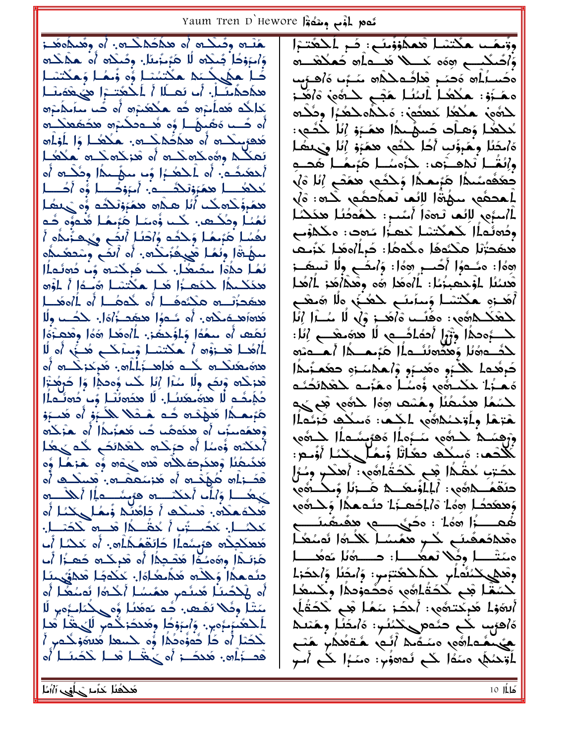Yaum Tren D'Hewore liser pal poi

هَلْـهِ وِمَـٰكـهِ أَهِ هٰكَكُـٰدُكـهِ. أَه وِهُـٰدَهُهُمْــ; وُٱمۡوَدَٰا مُنْكُلُهُ لَا هُوۡمُنۡنَالِ ۖ وَشَكُلُهُ ۚ أَه ۖ مَكَلَــُـُلَّهُ كْلْ هِجْيِجْـِيَجْ هَكْتَسُنْـلْ وَّه وَّحْمَـلْ وَهَكْتَسْـلْ هدام من الله عليه الله عنه الله عنه من الله عنه عنه الله عنه الله عنه الله عنه عنه الله عنه عنه الله كَلِيْكُمْ هُدْمَاتُوه هُمْ سَلَكْتَيْرُوه أَنْ هُبَ سَأَبْلِكُتُرُو أَه حُــد هَصَّدُــا وُه هُـــەدىكْـرُه هَجُــُفَعِنْـلــه هُدْمِيكُ أَنْ هَذَكُمْكُ مِنْ هَكْفُ أَوْلَمْ وَالْمُؤْلَمَ ئعكُّــمْ وَوُهِكُمْ مُسْرَى أَهْ قُدْكُمْ مُسْلَمَ مَلَكُمْ لَ أَحْمَدَتُ ۚ. أَه الْمَحْدُ إِ وَ الْمَسْمَا وَتَكْلُّهُ أَه ىُحْكَمُـــــــل مَعْبَوْتَحَكَــــــــهِ. أَمَرُوَكَـــــــل وَّه أَكَــــــل هفرزُ هو أَمَرُ الله عَلَيْهِ مِنْ الله عَلَيْهِ مِنْ الله عَلَيْهِ مِنْ الله بُمُبُلِ وِصُحْيَةٍ. ۖ جُبَّ وَمِنْنَا هُرُمُنَا هُدَوُهِ ۚ فِيهِ يَعْمَلُ مَرْتَمَا وَجَدْهِ وُأَصْلِ أَيْضَ وَجَمِدْتُهُمْ أَ سَهُتْوَا وِنُعُمَا هَٰجِيڪُنَدُهِ. أَه أَنضَعَ وِسْعَعُمَلُوهِ لَعُلًّا عَثَّةًا سَتَبَعَّلَ. كُب فَرِكْنَـٰهِ وَبَ ثَهِتُـٰهِ الْـ هَكَكَـٰـٰهَا كَخَعَـٰٓءَا هَـٰلِ هَكْتَسْـا هُـِـٰهُإ أَ لِأَوْه ههُدزُنـــه هَجْدُهُـــا أَه خُـههُـــا أَه ـالهَهْــا كَلّْحَاءُهِ مَلْحَاهِ ﴾ [2] مُسْجَودُا مَعْ مَعْدَدُ مَاءًا ﴾ مَلَّكُ مِلَّا وَلَا لَعَصِ أَو سِمُوْا وَلْمُحِصَّرْ. لِمُوَظَّرِ وَوَا وَقَوْعِيَرَوْا لْمُأْهَدَا هُدَوْهِ ﴾ مَكْتَسَا وَبِيتَاكُمْ هُدَى أَه إِلَّا مؤتمنك والمستقلة الله من المستقل المستقل المستقل الله عن الله عليه الله عن الله عليه الله عنه الله ع هُدَيْكُمْ وَبِضَ وَلَا سُأَا إِبْلَ كُبِّ وُءَدَيًّا وَا جُوهَٰذَا دُمُ دُے لَا مِدَهُ حَمَٰلًا لَا مِدَدِهِ نُسْأَ وَ ۖ دُونَـٰهِ أَا هَبْعَــدًا هَيْهْدَه كَــه عْــدْلا لِلْــٰبَرْهِ أَه هَـــٰـَرْهُ وْهَمُوسِيَّا أَو هِكُوهَا كَنَا هُمَيْنَهُمْ أَوْ هُيْكُو أَحْكَنُه وْمِمَّا أَهْ حَرِّكُهُ لِكَعْدَاتُكُمْ لَهُ يَكْتَبُ هَٰذُهُمَٰا وَهُذَرِهَهُ لَأَلِهِ ۚ فَلَا يَهُ ۚ وَ مُؤَهَّرَ مِّنَا وَهِ قَصَٰۃٖاہ مَمُکَــهِ آه هُزَمَـٰعَـقــهِ. قِسَـلَــف آه كجعُـــا وَٱلْمَا أَحكَنَـــِه هُمِنَـــوا ٱلْكَــــهِ ْهَٰكُمَكُمْ، هُنَكُمْ أَ فَاهُنَّكُمْ وَعَمَّلَ كَمَا أَه حَكَــا. حَحَـــتَبِ أَ حُقَـــدَا قَـــِرِ كَحَبْــا. هُعكُدِدٌه هُمِّسُماً أَحَائِقَهُكُلُّاهِ. أَه كَكْتَا أَبّ هَزَنُـٰهَا وِرَهُوسُـهَا هُدْـَـٰدِهَا أَو هُرِـكُــٰدِه خُصـُرَا أَب حِنْدِهِدَا وَلِكُلُّهِ مَدَاعَدَاهَا. حَكْدَمَا هَدْقَ عِنَا أَه لَكْحُىنَا هُدِئُم هُمُسُل أَكْ1ُ أَقْسُعًا أَه بِنَتْلُ وِثَىٰ نَفْسَ. ثُمَّ مَوَمُدُلٍّ وَمَنْ حَكْمَاتٍ وَمِنْ لَهُ لَمَحْسَنِمَ، وَالْبَوْدُ وَمُحَدَّدَحُو الْكَحْدَ الْعَامَ لْكَحُدًا إِهْ خَا خُووْهِكُمْ أَوْهِ لِكْسِعَةِ كَعَاشَوْكُلُومِ } هَدَخَلُهِ. هَدَهُــز أَه يَحْقَــل هَــل كَكَمَنَــل أَه

وِتَّىمَــا هَكْتَسْلُ قَدْهُوْفُسَـٰى: ضَرِ الْكَعَّتَـٰمُ ا وَٱضَكَّبِ مِهُه كَـــلاً هُـــعاه حُمكَّهَـــه ەكسىلگە ەتئىر ھائىقىلىگە مىئە ەلھىرى ەھَـزَو: ھِكْھُـل لَمَنْـل هَبْـمِ كَـرُّەنَ وَاهْـز لْحَدَّةِ مَكْفًا مُعْثَّفٍ: مَكْمُهْكُمُ وَمُحْدَّم لَحَكْمَا وَهِـأَتِ حَـٰهُـٰـٰهَا هَمَّـِٔهِ إِلَٰا ۖ حَـُـُـهِ : ةَامِثَمَا وِهَوْفِ أَحَا حَثَمٍ هِمَرَةٍ إِمَّا وَيَعْفَطْ وإِنْقُــا لَــاهـــزَهَ: ۖ حَزَّوْسُــا هَرَّمـمُــا هَصــو حِعَفُوسُلاً هُبُرِهِكَا وَلِكْفِ هِمَضٍ إِلَٰا هَلِ لِأَهُ : مِثْ لِمِفْصَفَهَا لِللهِ اشْهَدِهِ لِمَعْصَمِهِ لِ لِمُسْرَى لِلْعَا يَاءَهُمْ أَسْبِ: ﴿ هُوَدُنَا هَذَكْنَا ۖ وِصُولُها الْكَمَكْتَسْا تَعْعَزُا مُود: وكَلاَوْب هَهُدَرْنَا هَكَدُهَا مَكْمَهَا: خَبِأَ/مَعَلِ حَزَّىهَا ارْهَا: دَسُوْا أُصُّبِر رَوْهَا: وَٱمضَع وِلَا نَسِعَتْ هْنِئْلُ اوْحْتِمِبْزْنَا: امْحَلْ هُو وْتَحْدَاهُمْ الْمُحَارَ أهُدَوِ مَكْتَسًا وَسَأْنَتُ كَلَّكَنَّهُ وَلَا هُنْقَى لْحَقَّكُكُمْ وَهُوَ ، وَهُنَّفَ وَأَرْضَعَ وَلَى لَمَّا عُشَارًا إِلَٰهَ َكْتُوْمِدًا وَزْرَا أَحِمَادَهِمِ لَا مُحْمَدِهِمِ إِبْلَ: لِكْتُــدَةُلُمْ وَهَذَهُ قُدْتُـدَا } مُءُمِّـدًا } مُــدَّدَه كَرِثْتُما لِكَبُرٍ مَعْيَرُو وْٱلْعَظِيَتَةِ حَقَقَيْتُكَا فمئلا حكيثوه ومئيا ممزيم حفظفكم حَمَّمُ هَدَهُمُ اهْمِ هَشَفَ وَالْحَمَّةِ هِمَّدَ عَلَيْهِ مَنْ الْمَسْكَمَ لْمُتِهَا وِلْتَحْتُكُمْوُو لِكِلْمَا: وَسَكْتِ ثَوْتُوا ا وْرْهِسَٰـهُ ۖ حَــْـهُم ۖ مَــْءُمَاْ | هَوْمِسُــهِ] | حَــْهُم ۖ<br>| الْحَـْـَــهِ : هَمِــُحْـهِ | دَهَـٰلَالَ فَــمُـل حَمَـٰل أَوْسَع حَصَّتِبِ عُصَّدًا هِي كَحَتّْاهُو، أُهكُو وِسُرًا حَنَقْمُــدَاثَهِ : ٱلْمَلَوُّــعَــدُ هَــزُلاً وَحِكْــدَّى وَهِمُحَصَّلِ هِمَا ۚ وَالْمُحَصَّرَٰا ۖ صَنْعَـمَهَا ۖ وَحَــْمَهِ ۖ صُمْسَـٰۃُا (ہُمَا : ہمْنُے مِهْ مِنْصَمَّدَے مِنْ ەقدۇمقىنى كىر ھىئىسا كلاھ ئەسكا مِمَتْــــــا وِفْهِ تَمِعُــــــا: =ــــــوُمُا حَوَمُـــــا وهَهِكِكْنُفْلَمِ كِفَكَعَتْبَمِ: وَٱمْفِلْ وَٱحْضَرْ لْكَنّْقَا هِم كَكَتُاهُمِ هَحَدّْوَهَا وِكَسِعُا أَلْتَوَمَّا هُدِكْتُتُوهِ: أَحْضَرْ مُنْعُلُ قِنِي كَلَّحَقُلُ ەُھۆپ كىماھ ئېنىش ھەم كى سۆھاھ مِنَهُ بِٱمُعَاشَةِ ﴿ فَإِنَّا ٱمَا شَدَّهَ وَهُٰٓاهِ هُرَمٍ لْمَرْتَدَيْكَ مِنْدًا لَكُمْ تُـ20وَّب: مِنْثَرًا لَكُمْ أَسْرَ

مُحطَّمًا لَمَاتَ الشَّاسَةِ مِنْ الشَّاسَةِ مِنْ الشَّاسَةِ مِنْ مَنْ مَنْ مَنْ مَنْ مَنْ مَنْ مَنْ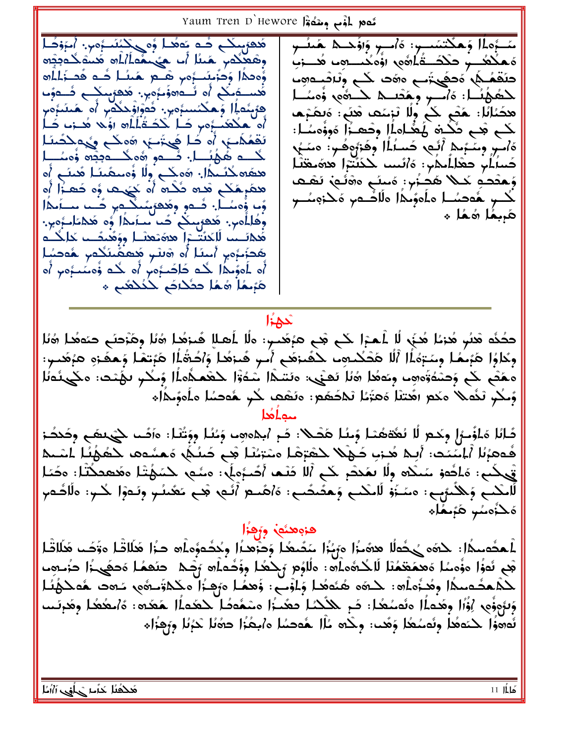Yaum Tren D Hewore last pai

هُدَرَبِيكُمْ شَدْءٌ بِمَعْظٍ فَوَاحِيكُمْ مَنْ أَجْرَدَ مِنْ أَجْرَدَ مِنْ

وهَعَذِكُم مَا أَمَا هَيْمُعَالَمَا مَنْهُ كَلْمَهِ مِنْهَم

ؤەد\ا وَحَزَّىنَىـزُەم ھَـــــمَ ــمَـنــا هـــه هَـصَـزَٰلمانه

ھُســوَىـكَم أَه لَـــەھۇمُوم، ھَــُومِــكَـــم فَـــووُمــ

ِعَهُنُمَا وَعَكَنَسْتُومِ. فَوَوْرَوْهِكُمْ أَه عَنْتُوْمَ

أَه هِكْعَنَّيِّومِ كَـا كَكَـَقَالَمُ وَفَكَّ هُــزَى كَـا

لنْتَمُكُمِيْ مِكْمِنَ رَسَمَتُو لَمْ أَمْ مِنْ مِكْمَةٍ

كُـــه هُهُنُـــا. فُـــهو هُوكُـــهُفِعْه ؤُوسُــِا

هغەڭنىدا. ھەكى رال ۋەسقىئا ھىئى إە

همْ مَكَم هُده تَكْلُهُ أَهْ كَيْهِمْ وَهِ حُمْدًا أَه

وَبِ وَٰٯَسُـٰلَ: شَـٰدَوِ وِهَٰدَوۡہِمُنگَّـٰدِہِ ۖ شَـٰبَ سَـٰلَاتِکُلُّا

وَقُالِمُونَ هُدْمَ مِنْكُمْ ۚ هُنَا مَدَامَدًا ۖ وَهِ هَدْمُنَاكَوْهِنَ هُكْسُبُ لَلْكَنْتَـٰمَ الْحَدَّمَاتِيلِ وَوَهُبِمَـٰبٍ كَالِكُـٰتِهِ ِهُجَزْءَهِ أَسْلَا أَه هَشْ هُعَهَّىنَكُمْ هُوَجِيْراً أَه لِمُؤْمَدًا كُنْ خَاصَـٰهُمْ أَه كُنْهُ وُمَنَّىــهُم أَه

هَبْسُا شَمَا حَثَدَتَ خَذَتَهِ \*

سُــُوۡمِاۤا وَهكتِسَبِ ۚ: هَٱسِـرٍ وَاوَٰهِــهَ هَنتُــر ەَھكەُب دىككىتەگەن بۇەكىلەپ ھىلز كَنْقَفّْيِكُمْ هُكُونُوْسِمْ هِ مَنْكُمْ وَلَاقْتِدْوَهِ لحَقُوَٰنُـا: هَ، و مِمَصْلِهِ لِأَــْقَى وَْمَنْـا هجَمُانُا: هَجْمٍ لَكُمْ وَلَا تَزِيمُكَ هُنَّمٍ: وَبِكَتِهِم كُم هُم مَكْتِه لَمُعْامَاإِ وِتَـْعَـزَا هُوؤُمنُـا: ةُامِرٍ وِسُبُطِ ائِكِ حُسالًا وِفَرْوَوَفِ : مَنْبُر كَسْرَٰامْ حَعْلَالْحَامِ: هَٰائِسَا كَكَنْتُوْا هَوَمَعْنَالَ وَهِتَّحَةِ كَمِلًا هُجِبُنٍ وَمَثَّلٍ وَهُنَّهَ فَقَيْفًا كَـــرِ ـمُوصُــا ولوَمِّدَا ولَاضُــورِ وَكَــزومُـــرِ هُرِبِمُا هُمُا \*

## تحمنا

حَحُدٌه هَنُو هُزِئا هُنِّي لَا الصِّرَا لَحْمٍ هِم هرْهُدو: وَلَا الْعَلَلِ هُنزهُدا هُلا وِهَزْحَبَ حتمهدا هُل وِكَاوُا هَبُيمًا وِسُتِمُاْ ٱلْا هَدَكْتُوبَ خَفَيْتَهِمْ أَبِ قَيْتُهَا وَٱجْتُهَاْ اهْبُتِمَا وَحَفَزو هرمض ەھْمْ كَعِ وَحَسْفَوَّەهِ وَعَاهُلَ مَا لَا تَحْنَى: دَنْتَىٰذًا شَـٰدُوْٓا ۖ كَـٰعُـَمَـٰكَ ا وُمَكَـٰب دَكَى تَدَلُّا وَمِنْدٍ تَذَهَبْ مَكْمٍ اهْتَنَا مُحَبَّطُ تَمْضُعُم: مَنْعَفٍ لَحْدٍ هُوَصَلًّا مَلَٰوَةٍ وَالْمَ

صَّالًا مَاؤَسِمُ| وِحْـمِ لَا نُعْفَعُنَـا وَسُلَّا هَـْـكَا: ضَع /بكاه وِسَلَّا وَوَتُنْـا: هَٰاصًـ حَيْحفض وحُححُـ; هُـومُ ُلم أَـلمَّـنَـد، أَبِــمْ هُــزِبِ حَـهْلا حَــقَـرْهَـل مَـنْتِنُـل قِبِي حَـنُـكِ هَـمَـنُـوم حَــفكفأ للشبي قَعِيكُم : مُاحَّدَةٍ سُبْلَاهِ وِلَا تَعْجَمَ كُلِّ ٱللَّا كَنْتُ أَصَـرُهِ أَبِي الْمَسْلَمِينَ ال لَامْكُنِي وَلِكُنَّوْنِي : مَنْنُوْ لَامْكُنِي وَهَمَّتُتُبٍ : هَ/هُنـع آلَتِي هُي نَعْبَتُنِ وِيُنووا لكنوه مأاقنفو ەڭرەئىر ھۇيغاھ

## فزوهنف وزهزا

لْمَحْمِيجًا: حَمَّهُ يُحْمَلًا هَمَّذًا مَرْبُزًا يَتَصَعُّلُ وَحَزَّهَا وِجُحُمْوُماه صَرَّا هَلَاقْل مَوَّضَا هَلَاقُل هُم نُووًّا ووْمِسُا وَهِمَهُمُمُا لَاحْدَةُها»: والوُم رُحْهُا ووُحْماه رُحْمَ حنَعِمًا وَحَفِي أَا حزموم ﻼَّﻤﺤُـﻪﺳﺪَّا ﻭﻣُﺪِّ;ﻩ.ﻟﻪ: ܠﻫﻪ ﻣُﻨُﻪﻣُﺪا ﻭَﺎ;ْﺳﻰ: ﻭَﻫﻤَـﺎ ﻩرَّݠـ;َﺍ ﻩﻛِﺪَّ;ﺳَﻪﻥ ﺳَﻪﺕ ﻫُﻪﯕﻤُﻨُـﺎ وَبَوْوَى }وَٱا وِهَداً الصَّنَّعَا: ضَرَّ لِلنَّلْسَا صَعْبَا الصَّفَاصَاً لِلْعَدَا الصَّفَاء: ةُ العُعُدا وهرئت لَهِ هَذَا ۖ حَدَهُمَا وِلَهَ سُعُدًا وَهُد: وِحْدَه مُأَا ۖ هُهَجْنًا ۚ هَابِهُمْ أَحَدُثُمْ لَهُ وَوَجْزَاه

أَمَانَ مِنَافِي ٱلْأَسْلَامِنَا ٱلْمَسْلَامَةِ ٱلْمَسَامَةِ ٱلْمَسَامَةِ ٱلْمَسَامَةِ ٱلْمَسَامَةِ ا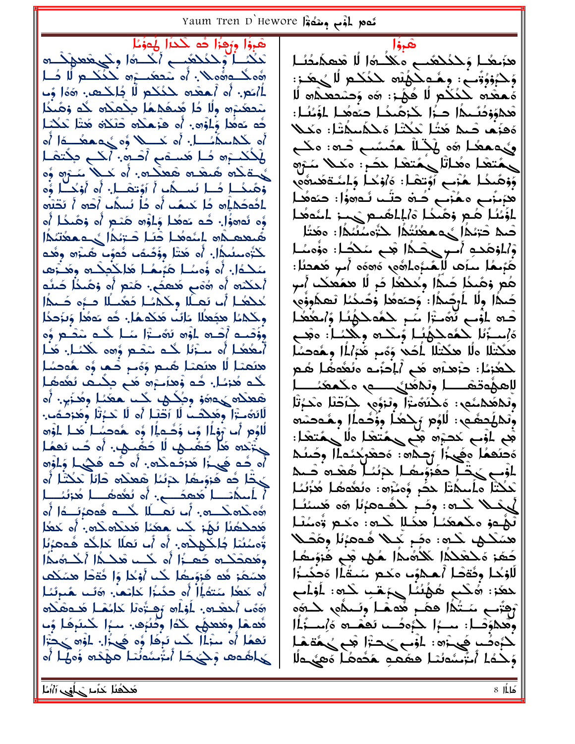Yaum Tren D Hewore last pai

هْبِوْا وِرُهِزَا هُو كَذَا لَمْوَمُا تَكْبُــأَ وَحَكَمْكِـــمِ أَكْـــوَا وِكَي هُعَمْهَكُـــو بِهُمكْــهِفُمِـلا : أَه شَعَعُبْــثِرَه لَكَنَّكَــع لَّا صُــل أَأَيُونَ أَوْ أَهْقُدُوا خَلَيْكُمْ لَا قُلْكُنْفَ، وَوَا وَب شععُثره ولَا مَا مُعكِّدْهُا مِكْعَكُمْ كُمْ وَهُبْدًا حُه عَمَٰداً وَلَأَوْهَ. أَه هُزَهكُمْ حَنْكُمْ هَٰتًا تَكْتُبَا أَهِ كَمْسَمَّنْـَا. أَه كَــِلاً وَه يُهمعُنَــِهَ! أَه لْمُكْسَرْهِ مُـا هَسـةم أُصْـهِ. آَكَــ مِكْتقَـا، كَمِ قَائِلُهُ مِنْ مَا مَدِينَ مِنْ مَدَيْنَ مِنْ مَدْمَ مِنْ مَدْمَوْ وْهَىخُــا حُــا نُســكُب / أَوْتَـهْــا. أَه أَوْحُــّا وَّه لمُفَحَمَلِهِ مَا نَحْمَى أَن مَا نُسِمًى آَدْهِ أَ نَقْتُهِ وُّه نُەھۈل. ھُـُـ مُـُمُعُـلُّ وَلَمُوْھ ھَنُـُـعِ أَهِ وَهُـمَـٰلُ إِه هَبْعِيهِ وَمِنْهُمْ الْمُوَجَّدَ الْمُسْتَمَرَّةَ وَمَنْهُمْ الْمُوْسَرِينَ مِنْ مَسْتَمَرَّةً وَمَ لْكُتُومِيلُيكَالِ: أَو هُجَنَّالِ وَوُضُمَّتْ شُوَوْبَ شَيْرُو وَهُدَّ مَكْدُارُ أَوْ وُوسُلُ هَرُمْطٌ هَالْكُفِكُ: وَهُـزْهَا أَهْكُنُه أَهْ هُوْمِ هُتُعَصِّ. هُنُع أَه وَهُبْدًا ضُلُّه حُكْمُـا أَبِ نَصِـلًا وِحُكْمُـا فَعُبِـلًا صَرَّه ضَـٰدًا وِكْكِمَا مِجَعِلًا عَانَبٍ هَكُمْهَا. حَمْ عَمَعًا وَيَرْحَدُا وَوَّقْتُ أَهْلُهُ مَا وَوَى مَوْقَتَوْلَ مَنْكُلُّ مَا مُتَّقَدِّعَ وَهُ أَتْمَعُمَلُ أَنْ يَسْؤُلُلُ كُنْتُ يَنْشُعُ وَرُوهِ لِلْكُتَارِ؛ هَنَا ا هنَّمنا لَا هنَّمنا هُيم وَهُبٍ فَـمَّ وَهُ ـمَّوصُباً لَّكُمْ هُزَيَاً. هُمْ وُهِزَيْتِهِ هُمْ مِكْتِفَ تَعْمَهُا يْمْعَنْكُمْ يُحْمَوْ وِدِّكْنِي كَبْ مِعْنَا وِهُنَيْ. أَه لْاَنَوْسَرْا وِهُكُمُتْ لَا اُتَّبْلَ أَو لَا كَبُرْتَا وَهُدَمَـٰفٌ. لَاؤُمِ أَبِ رَوْءًا وَبِ وَُشْمِهَا وَهِ حُمْحِسًا هَٰـا لِأَوْهِ حِبْبُدِه هَا حَصَّــهِـ لَا حَصَّــهِـ. أَه حَــ نَعمُـا أَه هُـه فَهِـذَا هَٰذِهَـهَـلَاهَ. أَه هُـه فَـهُـل وَلَوْه كَيْجًا مِهِ هَزْوُحِمًا حَرْبُنَا هِعَكُلُهُ حَايَلاً تَحْتَذَا أَه أَ ـلَمـدُنـــــــل هَجعتـــــــــي. أَه نُعْمَعُـــــل هُـزنُنـــــِـل \$ەڭلەڭ يە. {ما ئەسىلل كىلىم ھەھۇئىسەل {ە هُدكَهُنَا نُهُمْ كُبِ مِعْنَا هُدَكُوهَا وَ أَو عَعُل ۋەمئىنا فالكھكە. أە أى تعلّا كالگە فەھرُىل وفَعَقَدُهِ فَعَـزًا أَه كُــه قَدْحًا أَخْـهُـدًا ِهِمَمْ; هُوَ فَزِوْبِهُا ۖ كَبِ أَوْجُا وَا فَوْعَا هِمَكُم أَه كَعُداً مُتَمَٰلًا أَه حَكَّدًا كَانَفٍ: هَٰنَـٰ هُـُدِنَـٰاً وَهُما أَحْقَــُه. أَوْلَمْ رَجْــَةُولَا كَانُـمْــا هُــوهَـكُمْ هُدَهْلِ وِهُدَهُمْ ۖ كَذَا وَكُنُوْهِ. سَبَّا كَتَنَبَّعُا وَبّ تَعَمَّا أَوْ سَبْلَا كُبِّ تَرْفَا وَوَ فَيْءَا. لَمُوَهِ كَجَبَّرَا مَا الْلَّهَ مَكَهُمَا النَّامَشَةُ أَكْرَبُهُمْ وَمَعَاهَلَ

تعروا هزَىعُباً وَحَدُحْهُمبٍ مِكْلُوا لَا هَمِعَكُمَدُلَ وَحَبُوْوُتُبَ : وِهُـڢِحَكْمُتُه حَحُكَـٰـٰٓمِ لَٰا يُحِكَّـٰزِ : هُ مَعْدَهُ كَذُكُم لَا هُهُمْ: ﴿ وَحَسْمَعَكُمُ لَا هَدْوَوْضُـٰـدَا | هــزُا لِكَـزَهُــدُــا هـنَـدَهُــا لِلْوُمُنُــا : ەَفْزَها شَىمْ هَتُلْ نْكُتْلْ ەَكْكْسْلَاتْلْ: ەكْلا وَيُدَهُ عَلَيْهِ مِنْ مَشْبَهِمْ فَيَسْمَدُونِ مهمّن محمّد : مضّد لمعْتفر اتْالم معتفر من وَوَهَىدُا هُزَىبٍ ٱوۡتَـٰهَا: وَٱوۡدُـٰا وَاِسۡـَٰٓتَمَٰدِشَهِۖ هُمُنَّبَعِ مَعُنَّبِ كُنَّهُ حَتَّبَ لَـْ10وَٰ = حَنَّهُمْ ا لمُفَسِّل مَـمٍ وَهَـمُـل مَالِمَاهُـم يَـمِـز لمَـمُعَهُـل لْتَمَّه : الْمُنْشَمَا لِكَتْنَعْمَصِ الْمَتَكَامَ مَتَ وْٱلْمَوْهَدِمِ ٱسْرِيحَـٰهُا هُـِمِ سَكْحُـا: هَؤُهسُـا هُمُعمَّا سَلَمَهُ لِلْمُنُوَّمَاهُمْ وَهُوَهُ أَس هُمْعَنَّا: هُمْ وَهَبِدًا حُبْهَا وِحُكْفًا مَ أَلَا مَعَقَفَكُتَ أَبِ َحُىكَا وِلَا £رَجُىكَا: وَحَيَّدَهُمَا وَحُيْدُا نَعْكُوفُوْ) تْـدِه لِمُوْسِعِ لِّهُمْــٰٓرَا مَنْـمِ لِحَقَّمَـٰحَـٰهُمُـٰلِ وَٱمْعُنَّفُـلِّـل ةإسـزُلا كمُوكهُبُـا وُبكــه وككِنـا: وقحــم هكَتَلَا وَلَا هَكَتَلَا £َحَدٍ وَوَجٍ هَذَا£اً وِهُوصُدًا لحَعُزِمًا: حَزَهَارَه هَمِ ٱلْمُحَزَّمَةِ وَنُعُوَهُمْ هُـعَ للعفوقشط وتكفين مكمغنا وِلْمُعْمَسَى: وَحَلَّمَتْوَا وِلْزَوِّى جِلَاصْلَا مَحْرُثَا وِلْدَاهُجِعََــهِ: لَاوُم رَجْحَعُـلُ وِؤُخُـمَـلُّ وِـهُــمَــْسَه : لمعْتَمْرِ الله لمعْتَمْرِ مِنَّهِ مهْمَدٌ مِنْهَا مِهْ هُحلَعَمُا ۚ هِيَٰٓ أَ ۖ وَجِدَّاهَ : هَحَعۡ وَجُنَـٰهِ الۡ وَحَـٰلُـٰهَا ۖ لمَوَّبِ حَجَدًا حَفَزَهُ مِمَا حَرْنُما هُمْدَه ۚ دَعَهَ لَحَكْتُا مِأْسِلَاتًا حَصٍّ وُمِنْزَهِ: مَنُعْمَعُا هُزُنُنَا لِيَعْمِلًا لَحْـــاهِ : وِضَعِ لَحْفُــهِمْ مِنْا اللَّهَ مَعْسَنُــا لَّهُـووْ مِكْمِعْنُـا هِـذَـاا كَــْـهِ: مَحْـع وْمِنْنْـا هَنَكُنْ كُلُو: وَضَعَ كَبِيْلًا هُـوْهَزْنَا وِهَٰفَـلًا كَعَمْ مَكْتُخَذَّا لَحْكَمُكُمْ الْمُحْمَّةِ هُجْمٍ فَرْؤَيْهَا الأوحا وثقصا المكؤب مكتع لنبتقاا ةحكباا حدَّة: «مَكَّبٍ هُهُنُمَا لِمُنْهُمْ مِكَرُّه: لَمُوَاسِمَ رْهِتُوبِ مَحْتُمًا هِمَـٰمٍ هُوَهْـا وِتَـٰمِلُومٍ كَلْمَوِهِ وقَعَدَوُفْسًا: مَسْرًا لِحُرَّةَفْسَنَا تَعْقَسُهِ ۚ وَإِسْتَرَاءَا لَمَقَعْرِ مِعَ ابْتَعِرِ مِنْهَا : «بَيْرِهِ بِنْهُ يَدْهِ مِنْ وَحِدُمَا أَسْتَسْمَلُنَا هِمَهُم مَحْمَدُهُ أَهْلِيَهِ

مَحْدَمُنَا حَفَلَ سَأَحَدَ الْمَعْكَمَةَ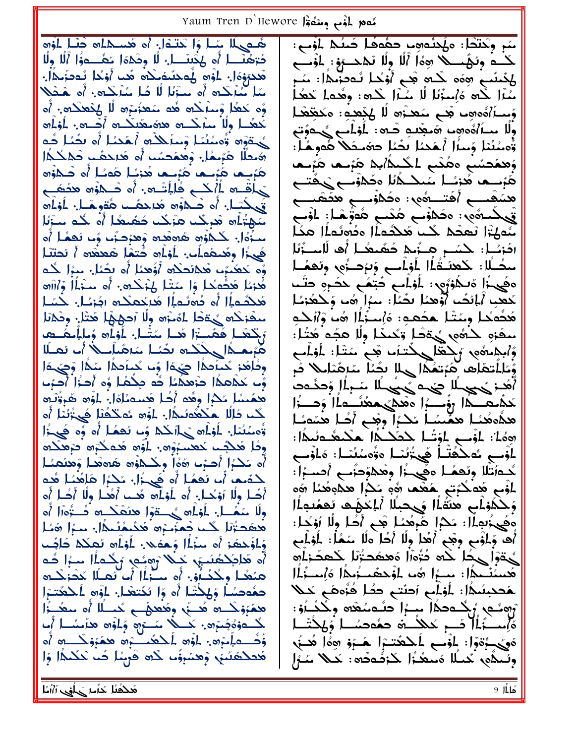Yaum Tren D'Hewore ladin ?

هُڪِلًا سَا وَا تَحْتَـٰهَا. أَه هَـٰــٰهَاه صَـْـَا اوْه كَتِكْفَسْــا أَه لِكَبِسْـــا. لَا وِحْكَهَ| يَعْــــوَوْ| ٱلْلَـ وِلَا هَدَوْوَا. - اوْرَه ۖ إِعْجَلْتُمَحْلُوهُ ۖ هَٰبَ أَوْخُلُ نُوجَزْجَالَ. مَا مُتَرَكَّدَة أَهْ سَبْتُا لَا جُا سُرْكَتِهِ. أَهْ هَجْلًا ؤه كَعُ*دًا وَسأَلْحُ*هِ هُمْ شَعْبُرْتِهِ لَا لِكَعْكُلُهِ. أَهْ تُحَفَّــا وَلَا سَأَنْــُـــهِ مَعْمَعْنَــْــهِ أَضَّــهِ. لَمْءَاه يُحَوْرُه وْمِنْتُمَا وْسِلْكُلُهِ ٱهْتِنَا أَهْ بَعْنَا فَهِ هَٰٮطَا هَبُـمُا. وَهمَحسًـٰ أَه هَٰـٰلِـهَـٰبِ كَـٰٰهَـٰدُا هُبَيم هُبُسم هُبُسم هُزْسًا هَمسًا أَه شَلَاؤُه يَ اقْسِهِ ﴾ إِلَيْكَمِ ۖ فَالْمُشْبَهِ ﴾ أو هـ حكم أو معكِّفَهِي قَبِيحْسَا. أَه صَحْوَةِ هَدَيحَمَــا هُقُوهَــا. لِمُؤْلَّهِ اللَّهُمْ وَاللَّهُ مَا مَنْ مَدَّ مَعْ مِنْ أَوْ لَكُمْ سَزْنًا ﴾ [الله عنه سَنُوْلُ: ݣَكُوْنُ هُدْهُدُه وْهَرُحِنُنَا وُبَا تَعْمُلُ أَن هَيْ أَوْهُدِهَمَاءٍ. أَوْلَمْ دُتِمَا هُعِنْعُهِ أَ نَحْتَدَا ؤِه كَعَكَّبُتْ قَدْمُتَحَدَّدَه أَؤُهْدًا أَه بِحَبَّا. سِرَّا كُنْدَ هُذِبًا هَجْحَهِ ُحَا وَا سَتِنَّا لِخَرْجُهِ. أَه سَخْلًا وْٱللَّهَ هَكْتُـم!ا أَه دُهنُـم!ا هُدبَكمَكْـه اجُنْـا. كَـمَـا محْمَدِكُلُو يُحَقَّطُ لِمُمْرَو وَلَا ٱلْحَمِيقَا هَتَا. وَحَمْلًا رُكْعْمَا فَعَيْـتْرَا هَـٰا مَثْـَا. أَوْلَمْ وَمَاأَمِغْـتِ م مَّزْمِهِ وَالْكِلْمُ مِنْكُمْ مَاتِكُمْ إِنْهُ مِنْكُمْ مِنْ مِنْكُمْ مِنْ ودُاهُد كَمَأْهُمْ حَيْهُ! وُبِ كَمَأْهِمْ! مَكَلًا وْحَيْهُ! وِّ مَدْاهِدًا عَزْهَدًا مَّه عِكْمًا وُه أَصْرًا أَصْرَب هَمُسُلٍ مَكْرًا وَهُمْ أَصَلَ هُسْمَنُاهَا. لَأَوْهِ هَوَوُلُهِمْ لَّكَ ذَالًا هَكَعُونُنَا!. لَمْوَه عُكَفُنًا فَيَتَرَبُّنَا أَه َوْْمِسُنُدَا. ۖ ـأَوْـأَى ۖ وَالْكُـدَ وَّـ نَعْصًا ۚ أَه وَّه هَيْـذَا ۖ وِطُ هَٰذِي مَعْسَبُوْنَ. اوْنَ هُدَكْرُنَ صَدْمَتُ أَه مَكْرًا أَحِرَى هَٰهِۖ وَكَـٰهَوْهِ هَمَعْمَا وَهَنَعْمَا لحَمَلِ أَنْ تَعَمُّلُ أَهْ فَيْءَا. يَحْرُا هَاهُنَا هُـِهِ أَصًّا وَلَا أَوْحُلَ: أَه لَمُؤْلَّهُ هُــٰ أَهْلَ وَلَا أَصَلَ أَه وِلَا مَمُــاً. اَوْاه يُـــقَوْا هِنَهْكُــهِ ضُـَوْءَا أَه هَهُدَٰرَٰنَا كُبِ بِمُؤْتَرِهِ هُكُمُنُتُمَالِ عَبَرَا هَٰذَا وَاأَوَّحَقَٰوْ أَه سَوْأَأَ وَهِفَيْ أَوْاهِ نَعِكُمْ خَافَت أَه هَامَكْعُنَــهَد حَكَّــ رَهِيَــهِ رَكْــمِلَ سِــرٌا هُــه هنُعُداً وِحُدُوْدٍ أَو سَنْزَاًا أَبَ تَعَبَّا جَدْرَجُدِهِ حمُّوصُباً وَلِكْتَا أَه وَا تَكْتَعْداً. لِأَوْهِ لَمَكْعَتَبَا همُرُوَيْكِ، هُنَّىٰ وَهُعَنَّ عَنْدَا أَهْ سَعْبُوْا ڲ؎ٚۏەڮ۫ڎۭ؈؞ۼٚڂ؇ڂڂۜۄؗ؈ۧٷٵۅٛۄ؞ڡۮٲۻڂٵ؋ٞڡ<br>ۏؙۣڞؙ؎ڸؘٲڎۭۄ؞ٵۏٛ؈۪ڶؙڂۼڂٮ؋ۄ؞ڡۿٷڋڴ؊ۅ؞ٲؙۄ هُدَكْهُنَّىٰ وَهَنَّبِؤُتَ كُلَّهَ قَرْبِنًا كُتَا تَكْتَذَا وَا

مَمْ وِكْتَحَا: هَهُدَّدُومِ حَجَّدَهُا حَيْدُ الْوَبِي: كُــد وِنَـهُــــــــلا مِهَا ٱللَّهِ وِلَا تَـمَـْــــرَوْ : لِلْوَــــــــــــــــــــــــــــــــ لِكُننُبِ وَهُوَ لَكُنَّ هُوَ أَوْكُلُ لُـودُنَّكُمُّا: مَنْع سُمَّا كُلُّهَ وَإِسْتَمَا لَمْ سُمَّا كُلُّهَ: وِهُدما حَمْدًا وَسِيَاْهُووس هُم سُعِيْرُه لَا لِهِْعِيهِ: وَكَعِنْقُمْا وْلًا سأَ/ةُەھِب هُمجْنو دە: لَمَوْلَم كُمْعَةِنْت وَّْمِنْتُمْا وَسَرًا أَحَمْنَا بَصَارِ حَمَىكَلًا هُموجًا. وَهمَحسَبَ هَمُدْبِ الْمُسْمَأَابِهِ هَرَسِفَ هَرَسَفَ هَبَسه هُزِسًا سَكَنفُ الْمُكْسَدُ الْتَوَبّ همَشِــــعِ أَهُتــــوهُمِ: هَكُمْؤُسِــعٍ هَكَشَيـــعِ قَعِيكُمِتُوهِ - وَحَكَّرُو مِنْ مَعْشَرِ مِنْ الْمُؤْسَسِ مِنْ الْمُؤْسَى مُمْهَنَّةُ الْعَصْدُ لَّكُتْ هُلْاتُمْهَا الْمُعَامَّةُ مَثَّلَ الْمَثَّلُ اصَّرْباً: حَسَّمٍ هِـزَيمٍ حَصَّحُـاً أَه لَاسـزَّلَا محُـلًا: كَعنَـقُلًا لِمَوْلَبٍ وَبَحِـزَى وِنَعمُـل ەفْهِمْ أَمْلَمُوْرُهِ، لَمُوْلِسٍ هُبْعُي حَصُرِهِ حَتَّب كَعْبِ ٱلْمُحَّـٰ ٱوْهَـٰدًا بِصَٰدًا: سَـٰزًا هُـٰ وَكَـٰعَٰذِـٰـَٰا هَحْمَكُمْ وِمَتْلَمْ حَكْمِهِ: هَامِينَهْا هُبْ وَٱلْكُمِّ مفَّزِهِ حَذْهُمٍ يُهْصَلِ وَمُحَمَّلٍ وَلَا هَجُم مَثَلًا: وَٱبْدِمِشْي رَبِّكَ الْمَسْتَمَاتِ مِنْ مَثْلًا: لَمُؤْلِمِنَ وَمَالِمَاسَمَاسَ الْمِمَاسَمِ الْمَعْبَدَةِ مَالْمَعَالَمَاسَ مَعَ .<br>معمَّم الْمِنْ اللَّيْصِ عَرْجَ الْبَعِينَ بَيْهِ! حَكِّمِدَمَا إِذْ أَمَعَكَ مِعْنَـٰدا وَحَـٰذَا هدُّەھُئا ھمَّسُلَّا مَكْبُلٍّ وِقِي أَصَلَّا هَمَّمِئَا رَّهُمَا: الْوَسَعِ الْوَتُسَارِ الْحَكَـٰدُا الْمَحْمَدُونُـٰدَا: لمُؤْسِي مُكْفُتْتُ فَيْ تُسُلَ وَتُوسُسُلَ: وَاوْسِي لَحْـوَاتِلا وِنَعِمْـا وَهُيْـذَا وِقَعِدْوَحَنَّــعِ آصَــرَا: لموهج هُدَكْبُتِي مُعْمَدٍ هُو مَكْرًا هَدُوهُمَا هُو ألْمِنْهُ وَالْمَحْلَمِ الْمَحْرِبَةِ الْمُتَمَّمِينَ بِمَعْنَاهِ الْمَسْتَمَاءِ وَالْمَسَاءِ وَالْ وَهَيْ بِهِ أَا: مَكْرًا هُرِمُهُ لَا بِعَى أَحَا وِلَا يَوْجُلَ: أَفَّ وَلَمْوَى وَقِي أَهْدَا وِلَا أَحَا َ وَلَا مَعْمَاً: لَمُؤَلِّي يُحْوَلِ حِجَا خَمَ مَتَوَالَ مَعْمَدَتُهَا كَمِحَابَقَى هَسسُلَهِ): بِبِيرًا هُبَ الْوَحْصَيْرَ مِلَا هَامِيتَهَا أَ هَحدبنُـدَا: ـأَوْلَمِـ ٱحنّتے حَمَّا هُزُّهِكَـ كَــلا ُرُومُـُـُّـِي رُجُّـُـوجِدًا مِنْهَا حَنُّـوَمُعْنُو وَخُخُـرُو: فَأَسْــزَٰٓـٰدَا ۖ فَـــز حَمْلَاًـــة حَمْدَدَسَــٰ وَلِكَتَــٰ ا كَوَيَجِبَّةَوْا: بِلَوْبِ لَمَحْقَتَتِهِ الصَّبَوْ وَكَالَ هُنَّهَ وِلَىكُمِ كَمِيلًا مُسِعْدًا كَجَدَّدُدَهِ: كَحَلَّا مُنْهُلٍ

مَحْدُمُنَا حَفَلَ سَمَعَهُ الْمَعْكُمُ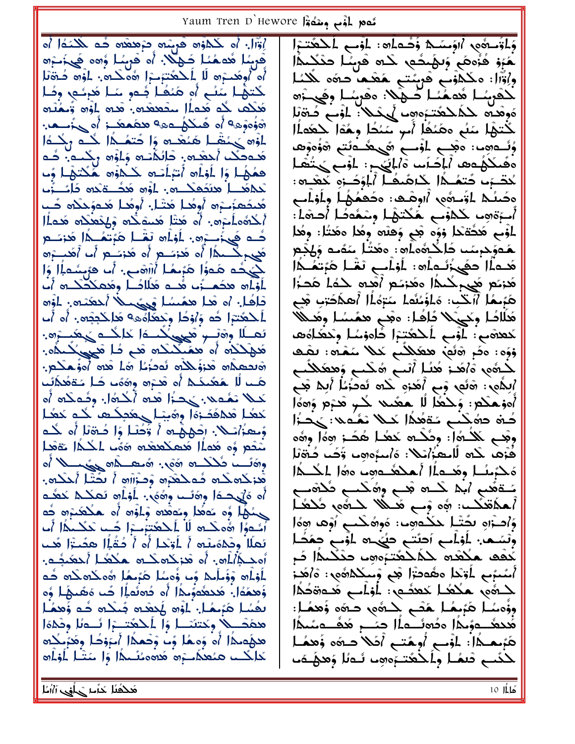Yaum Tren D'Hewore ladin ?

إَوْآلَ أَنَّ لَكُلُّوْهِ قَوْمِتُهِ فَوْقَعَتُهُ فَـهِ لَكُنَّهُ أَنَّ هِمِيمًا هُدَهُمُا ضَهَلًا: أَهْ هُرَيْمًا وُهُمْ فَهَذَهِهِ أُوكُمْ وَهُدْوَهِ لَا لِمُحْصَّرَ مِنْ أَوْهَدُ مِنْ الْوَوَوِ ضَوْتَالِ كَتَهْلُ مَنُــعٍ أَو هَنُعُــل قُــعو مَــل هَٰـرِئــعٍ وصُـل هَكُما لَكُمْ هُدْءَ) سَفْعَعْقُونَ هُدُو لَوْرُهِ وُسَعُلُوهِ المسائر ما الجمع العاملي من ما الموقع من المعدوم في المستمر من المستمر من المستمر امْكُمْ وَحَكَمَ الْمُحْمَدِ وَالْكَنْضَاءِ الْكَتْحَرَىٰ وَالْمَحْمَدِينَ وَالْمَحْمَدِينَ وَالْمَ هُـوحَكَّبَ أَحْقِـُهِ. فَالْكُلْبُ وَلَأَوْهِ بِكُنْـوَ. فَـو همُهُا وَا الْفِاه أَتَبُلَّتُ كَـٰلاَوْه هُكْتُهُا وَب تَكْلِفُـــا مَنَصُفَكْـــرَة . لمْوْرَة مَحْــــة بَدَرَة خَائَــــزَّب مُكْتَمِنُونُ أُوهُمَا هَتْيَا. أُوهُمَا هُدَوَجَكُمْ كُبِ أَكْتُوهَامْ إِنَّ مَنْ الْمُسْمَدُ وَلَيْتَعَلَّاهُ هَذَا ا ئُد فَيْ َسْرَهِ. الْفِارَه تَعْسَلْ هُرَتْمُلْمَ الْحَرْسُور هُدِي كَـــدًا أَه هُـْنَـــمِ أَه هُـْنَـــمِ أَبِ أَهُـيـــْرَه لَّيْهُم هَمَوُّا هَبَّـمُـا ٱللهَــبِ. أما هرَّمِشَماًا وَا أَوْلَمِ مَحْمَـَّ، مَّــم مَكَلَّاضًا ومَعَكَّدَتُدِهِ أَبَّ قَافُلُ: أَهْ قَطْ هَمُسُلٍّ فَيَهْتَ اللَّهُ اللَّهَ مِنْ اللَّهِ مِنْ اللَّهِ مِنْ ـأَـكـعُترَا هُـه وَ/وْهُا وِبْعِغَاهُهِ ۚ هَالْكَمِثُوهِ ﴾ أَه أَمَّا : مَوْسِرِهِمْ صَــْكَـــةَ اصْـــُكْـــــهِ مِنْ مِسْـــمِرْهِ مِنْ مِنْ مِنْ مِنْ مِنْ مِنْ مِنْ م ھَوَكَلُوهِ أَه مَعْمَكَنَكُمْ هُم مَا هَيِهِكُمْهُهُ: ەبجىھكە ھزۇللاھ ئەمزىگا ھا ھە أەۋھلكىن هَـــا لَا ـمَعَــدَــدُ أَه هَــرْه وهَهَــا حُــا سُــٰقَعَٰدَائِــا كما مَعْده بِيَحِمْ الْحَدَةِ الْحَدَةِ وَشَدَدَهِ أَهْ تحفذ عكر مفكموكل بمقارحة كفكم فالمفكر وَمِعْزُايْـبْلا. (تَحِهْشُدَهُ أَرْتُحَيْـا وَارْ ضُدَّيْلِ أَهْ لَكُـمْ سْتُم وَهِ هَٰداً هُدَمَكُمْهُدَهِ هَمَّا لِكُلَّا عَاهْدًا وَالْقَسَا مُكْلُدِهِ الْمَامِ. الْمُعْصَدُهِ وَلَيْ مِسْلًا أَنْ هِنزَكُمِكُمْ شَمَكَهُمْ وَمَزْرَاهِ ﴾ تَخَتَّا أَحْكُمْ. أَهُ وَأَيْكُمْ الْمُؤْتُبُ، وَهُمْهُ. - اذْعَارِهِ مُكْلِمًا لَحْقَـٰهِ حِمَٰلًا وَّهِ مَوْهَدًا وِمَوْهُدُهُ وَلَؤْدَهُ أَنْ حَكْفَضُرُهُ ثُمَّ أَسْوَءُا هُوجْدَهِ لَا لَمَحْقَتِهِــٰٓءَا كَـِب تَحْكَــٰهُا أَب تَعَلَّلَ وَحْدَمَتُوهُ أَ لَمُوَتَحًا أَو أَ حُقُلًا هَمَيْتَا هَب أەجلالْمان، أە قىزىكرەتكىرە مىلگىل أحقىقىم. لَمُؤْلِنَاهِ وُؤُمِلُكُمْ وُمِ وُءِينُكُمْ كَيُسْهُلُ هُءَيْكُلُو هُـدَا هُـدَ وُهِمَٰهُ|. هَٰدَهُووُهَا أَو دُوهُمَا أَحَد هَهُمَهُا وُو ىقْسَا ھَرَىمَا. اوْھ کَيْھَى مَكْتَ فَ وَقَصَا ههَصَـــلا وكتئسًـــل وَالْمَلْحَقَّتَـــوْا نُـــوْلَا وَهْدَا هجُمداً أَهْ وَمَعًا وَمَا وَتَعَمَّا إِمْرَوْحًا وَهُمُكُمْ كَلِكْتُ هَنُعَكُمْ وَ هُدَى مُنْكَلِّ وَا عَشَا لَوْلَاه

وَاذُكِمُوا ٱلْوَحْسَـٰمُ وَُدْعَالَاهِ : الْوَسَعِ الْكَعَّـٰـٰٓءِا لَّمَّزِهِ فَنُوهَمْ وَبِهُيشُمْ كُلُّهُ قَوِيمًا حَدَّكِيمًا وإوَّا: مكلاون فُوسُتبِ مُعْنُ دَوِّهِ لَحْيُنَا لْحَقْرَبُنَا هُدَهْنَا كُـُـوْلًا: دَقْرَبُنَـا وِفَيْـزَة ەُوھىدە كەلگىنىدەھە كېگىلا: لمۇسى ئىققا كَتَهَا مَنْعٍ مَمَنُفَإِ أَمِنٍ مَنْحًا وِهُمَا كِعَمَاا لَتَقْتُرِ صِهَاءٌ : مِرْتِكِلَةٌ سَأَحَلَهُ بِمَعْرِفَهُ مِنْ الْمَسْتَمَرِينَ مِنْ مَسْتَمَرِينَ م حُدّجَى حُتمُــدًا ۖ حُـُدمُــفَــلِ ٱلْمُوَدَىٰ ۚ حَمْــــــو : هِحَىنُـهُ لِأَوْسِوُّى أَآوِهُــْ هِجَعَـهُمْـا وِلَوْلَمـِـعِ أُسْوَّوِ لَكُمْوَنِّي هُكْتُهْا وِسْعُوصًا أَصْوَاً: لْمُوْمِ هُحْتَهْكُمْ وَوُه هِمْ وَهِلْهِ وِهُلْ هَهُنَّا: وَهُلَّا ھَەوَجېسَى كَلِكْيەُەل»: مَعَتُل مَدَّىم وَلِكَبِع لَاحْمَا اللَّهَ عَادَهِ الْفَاسِحِ لَقَالَ مَبْتَغُلَّمَا هُزَمَعٍ هَيْ كَلّْمَا وَهُزْمَعٍ أَهْدِهِ كَلَّهُ الْمَحْرَا هَبۡمَا ٱآخۡب: مَاؤۡنُنُمَا مَٰتِوۡمَاۤا ٱهۡلَاحَتِ هِي هَٰلَاصًا وِحَيْيَكَ مُلِعًا: هَجَمٍ مَعْسُلًا وِمَحَلَكَ كَعَدْهُم : الْمُوم الْكَعَّتِمُ أَحَادَوْسُا وِكَعَدَاهُ مِنْ وَوَّه: هَضَمْ رَهَقُونَ مَعْظَمِلِكُمْ مَحْلًا مُنْقَذَةً لَيْقِيقًا مِنْ لْجِعَى وَأَهَدَ هُلُإِ أَنْبَ هُكْنَ وَمِعَكَلْنَنِي إِبِكُمِ : هَلُمٍ وَمِعٍ إِهْدَهِ ۚ ذَٰلِهِ لَمَحْتُمَا أَبِكَ هَيْمٍ أُوَمِكُو: وَكَعَالَ لَا يَعْقَبُكَ كُلِّ قَدْرَوا وَادَةُ! أَمْكُنَ : مَدْهُمْ الْمَعْقِدُ حِنْكُمْ هَذَا وِهْمِ لَلْأَسُواْ؛ وِصَّلَاه مُطَدًّا هُصَّعْ هِوَّا وَهُو هُزْهَا لَحْمَ لْلْبِعْزُ/يْبِلا: هَ/سِرُّوهِما وَّضَا ضُقَالَ هَكْرَسُلُ وهُـــهِ] أَـمَكْحُـــوهِــهِ وهُمْ الْكَـــدَأَ یُــٰقَعَیمِ ایک کَـــۃ قبے وِہُکَــبے صَٰلَاتِہـــمِ أَهْلَاتُكُما: ﴿ وَبِّي قُطِيلًا ۚ كَـٰدُّى ۚ تُكْفُـلُ وَ}َدَرَاهِ بِجُثْياً حَكْمَهِمَ: هُوَهُكُمَعَ أَوْهَدَهِهِ أَ وِلْسُـعا. الْوْلَمــع أَحتُنــع حيَّىـــالله علومــع حِمَحُــل بَحْقَفَ هِيُحْدَهِ حَجَمَكَمَتَهَمِيهِما حَدَّكُنَّهُ! ضَرِ أَسُبَّمِ الرَّدَا مَقْمَتْرَا فِي وَسِكْلَاهُو : هُ/هَـٰ; لِمُحْمَّمٍ مَكْعُدً مَعْدُمٍ، أَوْلَمِ هَدَةَدُا وِؤْمِنُنَا هُرُمُنَا هُضَّعَ بِكُنُّوهِ كُنُّوهِ وُهِمُنَا: هُدهُــووُندَا وَدُونَـــوا الْحِـَـــمِ هَٰذَـــوَسَّندُا هَبْـمـدًا: الْمُـبِي أُوهَتبِ أَصَلًا صَــهَه وَهمـُـل لحكَسم قَتَمُنَا وِلْمَحْقَتَـٰهِ∞وِمَا يُـٰهُمْ وَهِيَـٰهَمَا

مَحْدَمُنَا حَفَلَ سَأَحَدَ الْمَعْكَمَةَ